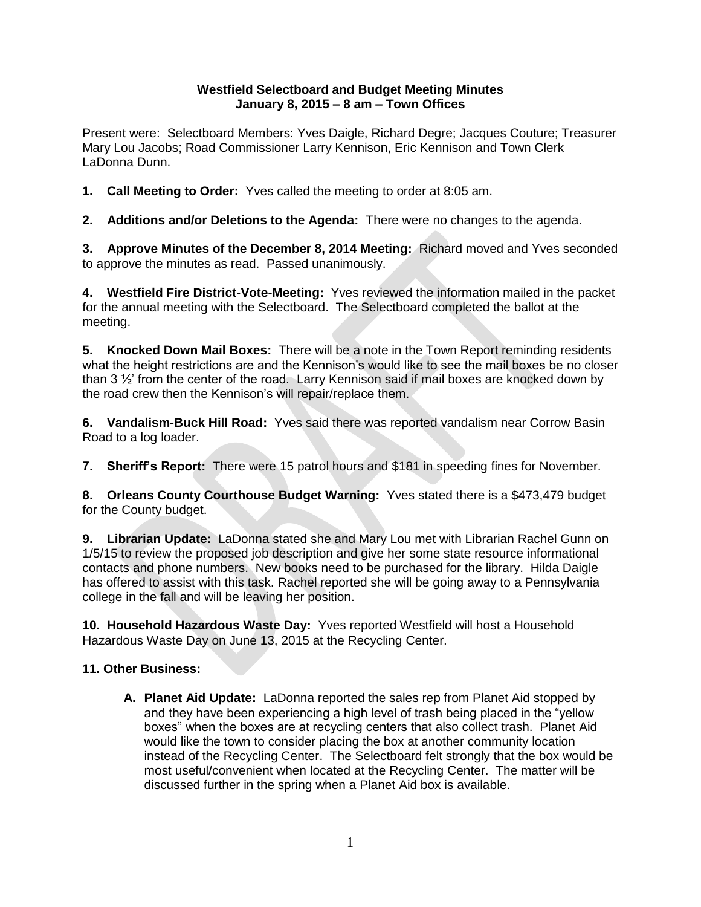## **Westfield Selectboard and Budget Meeting Minutes January 8, 2015 – 8 am – Town Offices**

Present were: Selectboard Members: Yves Daigle, Richard Degre; Jacques Couture; Treasurer Mary Lou Jacobs; Road Commissioner Larry Kennison, Eric Kennison and Town Clerk LaDonna Dunn.

**1. Call Meeting to Order:** Yves called the meeting to order at 8:05 am.

**2. Additions and/or Deletions to the Agenda:** There were no changes to the agenda.

**3. Approve Minutes of the December 8, 2014 Meeting:** Richard moved and Yves seconded to approve the minutes as read. Passed unanimously.

**4. Westfield Fire District-Vote-Meeting:** Yves reviewed the information mailed in the packet for the annual meeting with the Selectboard. The Selectboard completed the ballot at the meeting.

**5. Knocked Down Mail Boxes:** There will be a note in the Town Report reminding residents what the height restrictions are and the Kennison's would like to see the mail boxes be no closer than 3 ½' from the center of the road. Larry Kennison said if mail boxes are knocked down by the road crew then the Kennison's will repair/replace them.

**6. Vandalism-Buck Hill Road:** Yves said there was reported vandalism near Corrow Basin Road to a log loader.

**7. Sheriff's Report:** There were 15 patrol hours and \$181 in speeding fines for November.

**8. Orleans County Courthouse Budget Warning:** Yves stated there is a \$473,479 budget for the County budget.

**9. Librarian Update:** LaDonna stated she and Mary Lou met with Librarian Rachel Gunn on 1/5/15 to review the proposed job description and give her some state resource informational contacts and phone numbers. New books need to be purchased for the library. Hilda Daigle has offered to assist with this task. Rachel reported she will be going away to a Pennsylvania college in the fall and will be leaving her position.

**10. Household Hazardous Waste Day:** Yves reported Westfield will host a Household Hazardous Waste Day on June 13, 2015 at the Recycling Center.

## **11. Other Business:**

**A. Planet Aid Update:** LaDonna reported the sales rep from Planet Aid stopped by and they have been experiencing a high level of trash being placed in the "yellow boxes" when the boxes are at recycling centers that also collect trash. Planet Aid would like the town to consider placing the box at another community location instead of the Recycling Center. The Selectboard felt strongly that the box would be most useful/convenient when located at the Recycling Center. The matter will be discussed further in the spring when a Planet Aid box is available.